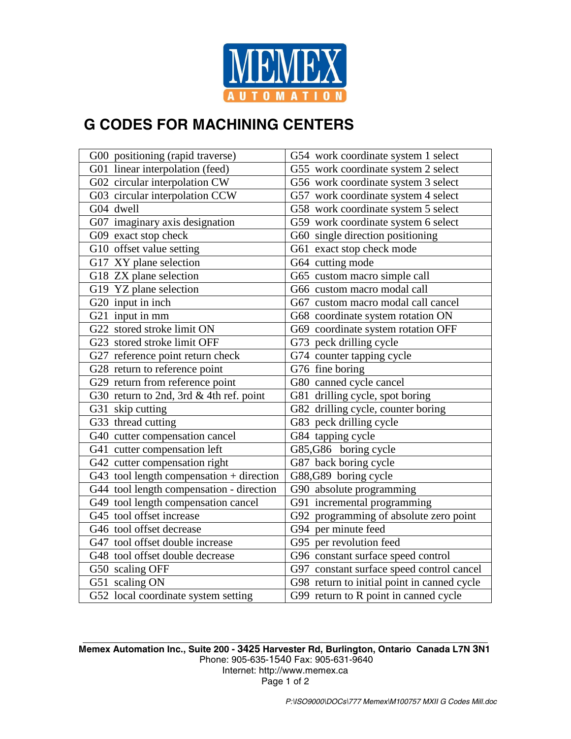

## **G CODES FOR MACHINING CENTERS**

| G00 positioning (rapid traverse)           | G54 work coordinate system 1 select         |
|--------------------------------------------|---------------------------------------------|
| G01 linear interpolation (feed)            | G55 work coordinate system 2 select         |
| G02 circular interpolation CW              | G56 work coordinate system 3 select         |
| G03 circular interpolation CCW             | G57 work coordinate system 4 select         |
| G04 dwell                                  | G58 work coordinate system 5 select         |
| G07 imaginary axis designation             | G59 work coordinate system 6 select         |
| G09 exact stop check                       | G60 single direction positioning            |
| G10 offset value setting                   | G61 exact stop check mode                   |
| G17 XY plane selection                     | G64 cutting mode                            |
| $\overline{G1}8$ ZX plane selection        | G65 custom macro simple call                |
| G19 YZ plane selection                     | G66 custom macro modal call                 |
| G20 input in inch                          | G67 custom macro modal call cancel          |
| G21 input in mm                            | G68 coordinate system rotation ON           |
| G22 stored stroke limit ON                 | G69 coordinate system rotation OFF          |
| G23 stored stroke limit OFF                | G73 peck drilling cycle                     |
| G27 reference point return check           | G74 counter tapping cycle                   |
| G28 return to reference point              | G76 fine boring                             |
| G29 return from reference point            | G80 canned cycle cancel                     |
| G30 return to 2nd, 3rd & 4th ref. point    | G81 drilling cycle, spot boring             |
| G31 skip cutting                           | G82 drilling cycle, counter boring          |
| G33 thread cutting                         | G83 peck drilling cycle                     |
| G40 cutter compensation cancel             | G84 tapping cycle                           |
| G41 cutter compensation left               | G85,G86 boring cycle                        |
| G42 cutter compensation right              | G87 back boring cycle                       |
| G43 tool length compensation $+$ direction | G88,G89 boring cycle                        |
| G44 tool length compensation - direction   | G90 absolute programming                    |
| G49 tool length compensation cancel        | G91 incremental programming                 |
| G45 tool offset increase                   | G92 programming of absolute zero point      |
| G46 tool offset decrease                   | G94 per minute feed                         |
| G47 tool offset double increase            | G95 per revolution feed                     |
| G48 tool offset double decrease            | G96 constant surface speed control          |
| G50 scaling OFF                            | G97 constant surface speed control cancel   |
| G51 scaling ON                             | G98 return to initial point in canned cycle |
| G52 local coordinate system setting        | G99 return to R point in canned cycle       |

**Memex Automation Inc., Suite 200 - 3425 Harvester Rd, Burlington, Ontario Canada L7N 3N1**  Phone: 905-635-1540 Fax: 905-631-9640 Internet: http://www.memex.ca Page 1 of 2